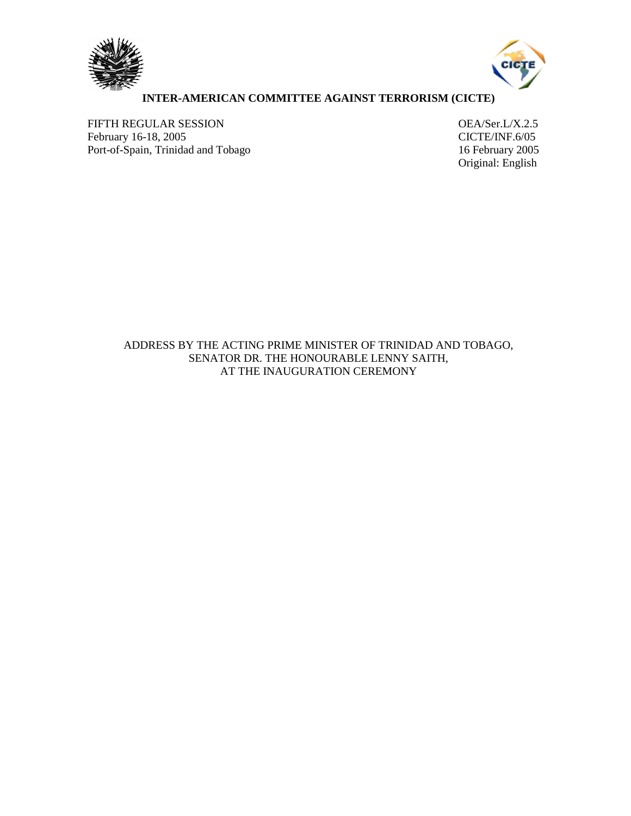



## **INTER-AMERICAN COMMITTEE AGAINST TERRORISM (CICTE)**

FIFTH REGULAR SESSION<br>
February 16-18, 2005<br>
CICTE/INF.6/05 February 16-18, 2005<br>
Port-of-Spain, Trinidad and Tobago<br>
16 February 2005 Port-of-Spain, Trinidad and Tobago

Original: English

ADDRESS BY THE ACTING PRIME MINISTER OF TRINIDAD AND TOBAGO, SENATOR DR. THE HONOURABLE LENNY SAITH, AT THE INAUGURATION CEREMONY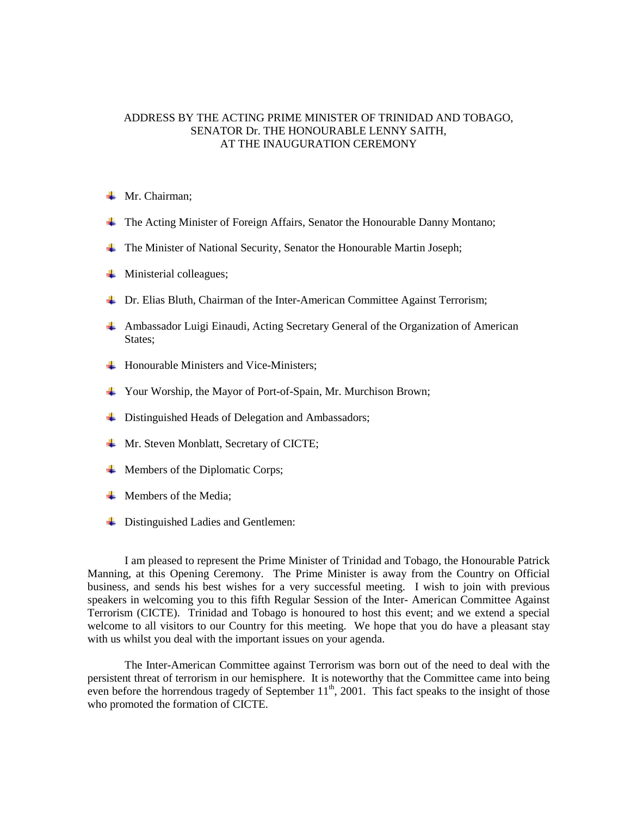## ADDRESS BY THE ACTING PRIME MINISTER OF TRINIDAD AND TOBAGO, SENATOR Dr. THE HONOURABLE LENNY SAITH, AT THE INAUGURATION CEREMONY

- **Mr.** Chairman:
- The Acting Minister of Foreign Affairs, Senator the Honourable Danny Montano;
- The Minister of National Security, Senator the Honourable Martin Joseph;
- $\ddot{\bullet}$  Ministerial colleagues;
- Dr. Elias Bluth, Chairman of the Inter-American Committee Against Terrorism;
- Ambassador Luigi Einaudi, Acting Secretary General of the Organization of American States:
- $\text{H}_{\text{non}}$  Honourable Ministers and Vice-Ministers;
- Your Worship, the Mayor of Port-of-Spain, Mr. Murchison Brown;
- **↓** Distinguished Heads of Delegation and Ambassadors;
- **Mr. Steven Monblatt, Secretary of CICTE;**
- **Members of the Diplomatic Corps;**
- $\blacksquare$  Members of the Media:
- **↓** Distinguished Ladies and Gentlemen:

I am pleased to represent the Prime Minister of Trinidad and Tobago, the Honourable Patrick Manning, at this Opening Ceremony. The Prime Minister is away from the Country on Official business, and sends his best wishes for a very successful meeting. I wish to join with previous speakers in welcoming you to this fifth Regular Session of the Inter- American Committee Against Terrorism (CICTE). Trinidad and Tobago is honoured to host this event; and we extend a special welcome to all visitors to our Country for this meeting. We hope that you do have a pleasant stay with us whilst you deal with the important issues on your agenda.

The Inter-American Committee against Terrorism was born out of the need to deal with the persistent threat of terrorism in our hemisphere. It is noteworthy that the Committee came into being even before the horrendous tragedy of September 11<sup>th</sup>, 2001. This fact speaks to the insight of those who promoted the formation of CICTE.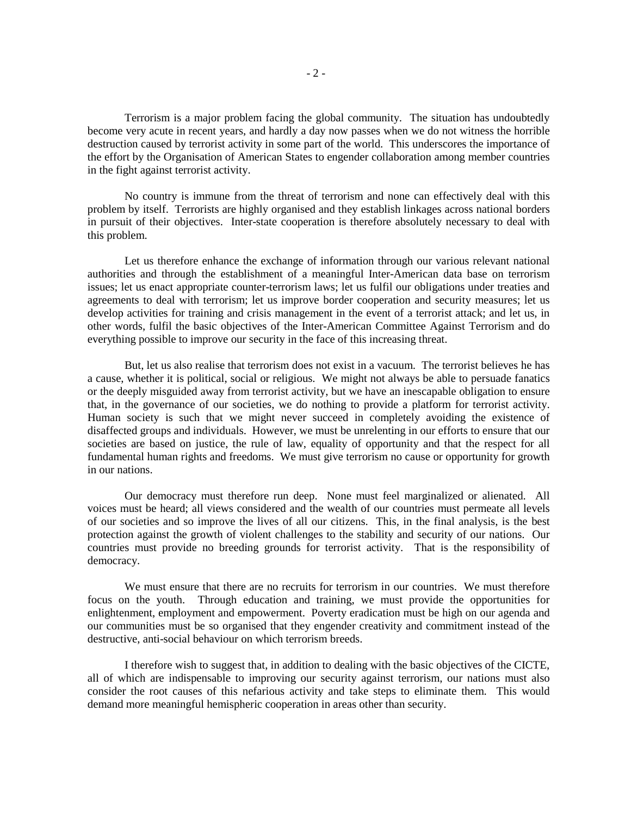Terrorism is a major problem facing the global community. The situation has undoubtedly become very acute in recent years, and hardly a day now passes when we do not witness the horrible destruction caused by terrorist activity in some part of the world. This underscores the importance of the effort by the Organisation of American States to engender collaboration among member countries in the fight against terrorist activity.

No country is immune from the threat of terrorism and none can effectively deal with this problem by itself. Terrorists are highly organised and they establish linkages across national borders in pursuit of their objectives. Inter-state cooperation is therefore absolutely necessary to deal with this problem.

Let us therefore enhance the exchange of information through our various relevant national authorities and through the establishment of a meaningful Inter-American data base on terrorism issues; let us enact appropriate counter-terrorism laws; let us fulfil our obligations under treaties and agreements to deal with terrorism; let us improve border cooperation and security measures; let us develop activities for training and crisis management in the event of a terrorist attack; and let us, in other words, fulfil the basic objectives of the Inter-American Committee Against Terrorism and do everything possible to improve our security in the face of this increasing threat.

But, let us also realise that terrorism does not exist in a vacuum. The terrorist believes he has a cause, whether it is political, social or religious. We might not always be able to persuade fanatics or the deeply misguided away from terrorist activity, but we have an inescapable obligation to ensure that, in the governance of our societies, we do nothing to provide a platform for terrorist activity. Human society is such that we might never succeed in completely avoiding the existence of disaffected groups and individuals. However, we must be unrelenting in our efforts to ensure that our societies are based on justice, the rule of law, equality of opportunity and that the respect for all fundamental human rights and freedoms. We must give terrorism no cause or opportunity for growth in our nations.

Our democracy must therefore run deep. None must feel marginalized or alienated. All voices must be heard; all views considered and the wealth of our countries must permeate all levels of our societies and so improve the lives of all our citizens. This, in the final analysis, is the best protection against the growth of violent challenges to the stability and security of our nations. Our countries must provide no breeding grounds for terrorist activity. That is the responsibility of democracy.

We must ensure that there are no recruits for terrorism in our countries. We must therefore focus on the youth. Through education and training, we must provide the opportunities for enlightenment, employment and empowerment. Poverty eradication must be high on our agenda and our communities must be so organised that they engender creativity and commitment instead of the destructive, anti-social behaviour on which terrorism breeds.

I therefore wish to suggest that, in addition to dealing with the basic objectives of the CICTE, all of which are indispensable to improving our security against terrorism, our nations must also consider the root causes of this nefarious activity and take steps to eliminate them. This would demand more meaningful hemispheric cooperation in areas other than security.